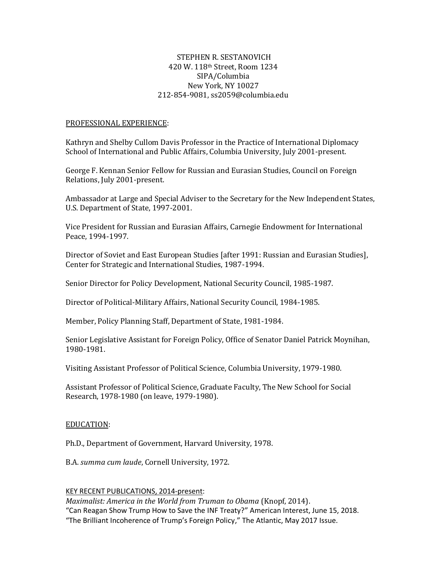## STEPHEN R. SESTANOVICH 420 W. 118th Street, Room 1234 SIPA/Columbia New York, NY 10027 212-854-9081, ss2059@columbia.edu

### PROFESSIONAL EXPERIENCE:

Kathryn and Shelby Cullom Davis Professor in the Practice of International Diplomacy School of International and Public Affairs, Columbia University, July 2001-present.

George F. Kennan Senior Fellow for Russian and Eurasian Studies, Council on Foreign Relations, July 2001-present.

Ambassador at Large and Special Adviser to the Secretary for the New Independent States, U.S. Department of State, 1997-2001.

Vice President for Russian and Eurasian Affairs, Carnegie Endowment for International Peace, 1994-1997.

Director of Soviet and East European Studies [after 1991: Russian and Eurasian Studies], Center for Strategic and International Studies, 1987-1994.

Senior Director for Policy Development, National Security Council, 1985-1987.

Director of Political-Military Affairs, National Security Council, 1984-1985.

Member, Policy Planning Staff, Department of State, 1981-1984.

Senior Legislative Assistant for Foreign Policy, Office of Senator Daniel Patrick Moynihan, 1980-1981.

Visiting Assistant Professor of Political Science, Columbia University, 1979-1980.

Assistant Professor of Political Science, Graduate Faculty, The New School for Social Research, 1978-1980 (on leave, 1979-1980).

#### EDUCATION:

Ph.D., Department of Government, Harvard University, 1978.

B.A. *summa cum laude*, Cornell University, 1972.

#### KEY RECENT PUBLICATIONS, 2014-present:

*Maximalist: America in the World from Truman to Obama* (Knopf, 2014). "[Can Reagan Show Trump How to Save the INF Treaty?](https://www.cfr.org/article/can-reagan-show-trump-how-save-inf-treaty)" American Interest, June 15, 2018. ["The Brilliant Incoherence of Trump's Foreign Policy,](https://www.theatlantic.com/magazine/archive/2017/05/the-brilliant-incoherence-of-trumps-foreign-policy/521430/)" The Atlantic, May 2017 Issue.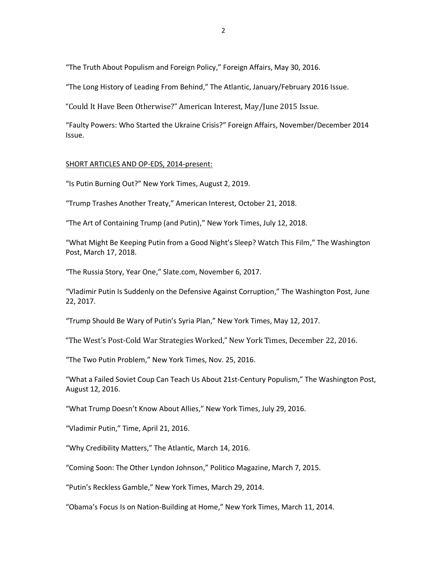"[The Truth About Populism and Foreign Policy](https://www.foreignaffairs.com/articles/united-states/2016-05-30/truth-about-populism-and-foreign-policy)," Foreign Affairs, May 30, 2016.

"[The Long History of Leading From Behind](http://www.theatlantic.com/magazine/archive/2016/01/the-long-history-of-leading-from-behind/419097/)," The Atlantic, January/February 2016 Issue.

"[Could It Have Been Otherwise?](http://www.the-american-interest.com/2015/04/14/could-it-have-been-otherwise/)" American Interest, May/June 2015 Issue.

"Faulty Powers: [Who Started the Ukraine Crisis?](https://www.foreignaffairs.com/articles/eastern-europe-caucasus/2014-10-17/faulty-powers)" Foreign Affairs, November/December 2014 Issue.

### SHORT ARTICLES AND OP-EDS, 2014-present:

"[Is Putin Burning Out?](https://www.nytimes.com/2019/08/02/opinion/putin-russia.html)" New York Times, August 2, 2019.

"[Trump Trashes Another Treaty](https://www.the-american-interest.com/2018/10/21/trump-trashes-another-treaty/)," American Interest, October 21, 2018.

"[The Art of Containing Trump \(and Putin\)](https://www.nytimes.com/2018/07/12/opinion/trump-putin-helsinki.html)," New York Times, July 12, 2018.

["What Might Be Keeping Putin from a Good Night's Sleep? Watch This Film,](https://www.washingtonpost.com/opinions/global-opinions/what-might-be-keeping-putin-from-a-good-nights-sleep-watch-this-film/2018/03/17/61524ffe-2963-11e8-874b-d517e912f125_story.html?utm_term=.abe407c89724)" The Washington Post, March 17, 2018.

"[The Russia Story, Year One](http://www.slate.com/articles/news_and_politics/politics/2017/11/the_year_in_push_alerts_how_breaking_news_became_our_lives.html)," Slate.com, November 6, 2017.

"[Vladimir Putin Is Suddenly on the Defensive Against Corruption](https://www.washingtonpost.com/news/democracy-post/wp/2017/06/22/vladimir-putin-is-suddenly-on-the-defensive-against-corruption/?utm_term=.2d6f431491fa)," The Washington Post, June 22, 2017.

["Trump Should Be Wary of Putin's Syria Plan,](https://www.nytimes.com/2017/05/12/opinion/trump-should-be-wary-of-putins-syria-plan.html?_r=1)" New York Times, May 12, 2017.

"The West's Post[-Cold War Strategies Worked](https://www.nytimes.com/roomfordebate/2016/12/22/since-the-fall-of-the-soviet-union/the-wests-post-cold-war-strategies-worked)," New York Times, December 22, 2016.

"[The Two Putin Problem](https://www.nytimes.com/2016/11/25/opinion/sunday/the-two-putin-problem.html)," New York Times, Nov. 25, 2016.

"[What a Failed Soviet Coup Can Teach Us About 21st-Century Populism](https://www.washingtonpost.com/opinions/what-a-failed-soviet-coup-can-teach-us-about-21st-century-populism/2016/08/12/deaa1e8e-5fd2-11e6-af8e-54aa2e849447_story.html?utm_term=.68407d0190ed)," The Washington Post, August 12, 2016.

["What Trump Doesn't Know About Allies,](https://www.nytimes.com/2016/07/30/opinion/what-trump-doesnt-know-about-allies.html?ref=international&_r=1)" New York Times, July 29, 2016.

"[Vladimir Putin](http://time.com/4301437/vladimir-putin-2016-time-100/?iid=sr-link2)," Time, April 21, 2016.

"[Why Credibility Matters](http://www.theatlantic.com/international/archive/2016/03/obama-doctrine-goldberg-free-rider-credibility/473616/)," The Atlantic, March 14, 2016.

"[Coming Soon: The Other Lyndon Johnson](http://www.politico.com/magazine/story/2015/03/lyndon-johnson-vietnam-115825#.VP3BOE0tG71)," Politico Magazine, March 7, 2015.

["Putin's Reckless Gamble,](http://www.nytimes.com/2014/04/01/opinion/putins-reckless-gamble.html)" New York Times, March 29, 2014.

["Obama's Focus Is on Nation](http://www.nytimes.com/roomfordebate/2014/03/11/weakness-or-realism-in-foreign-policy/obamas-focus-is-on-nation-building-at-home)-Building at Home," New York Times, March 11, 2014.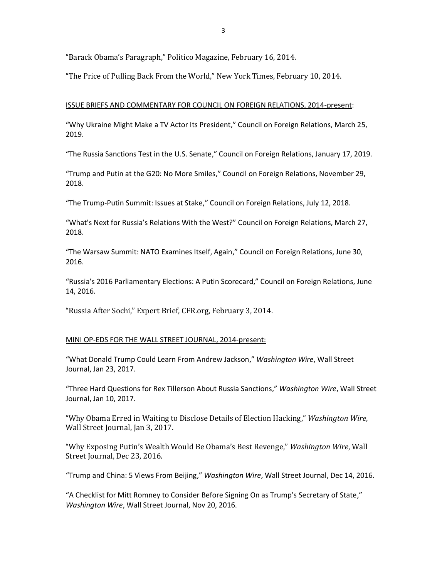"Ba[rack Obama's Paragraph,](http://www.politico.com/magazine/story/2014/02/barack-obamas-paragraph-103572.html#.VDwTfijQp8E)" Politico Magazine, February 16, 2014.

"[The Price of Pulling Back From the World](http://www.nytimes.com/2014/02/10/opinion/the-price-of-pulling-back-from-the-world.html)," New York Times, February 10, 2014.

### ISSUE BRIEFS AND COMMENTARY FOR COUNCIL ON FOREIGN RELATIONS, 2014-present:

"[Why Ukraine Might Make a TV Actor Its President](https://www.cfr.org/article/why-ukraine-might-make-tv-actor-its-president)," Council on Foreign Relations, March 25, 2019.

"[The Russia Sanctions Test in the U.S. Senate](https://www.cfr.org/article/russia-sanctions-test-us-senate)," Council on Foreign Relations, January 17, 2019.

"[Trump and Putin at the G20: No More Smiles](https://www.cfr.org/article/trump-and-putin-g20-no-more-smiles)," Council on Foreign Relations, November 29, 2018.

"[The Trump-Putin Summit: Issues at Stake](https://www.cfr.org/article/trump-putin-summit-issues-stake)," Council on Foreign Relations, July 12, 2018.

["What's Next for Russia's Relations With the West?"](https://www.cfr.org/interview/whats-next-russias-relations-west) Council on Foreign Relations, March 27, 2018.

"[The Warsaw Summit: NATO Examines Itself, Again](https://www.cfr.org/expert-brief/warsaw-summit-nato-examines-itself-again)," Council on Foreign Relations, June 30, 2016.

["Russia's 2016 Parliamentary Ele](https://www.cfr.org/expert-brief/russias-2016-parliamentary-elections-putin-scorecard)ctions: A Putin Scorecard," Council on Foreign Relations, June 14, 2016.

"[Russia After Sochi](http://www.cfr.org/russian-federation/russia-after-sochi/p32322)," Expert Brief, CFR.org, February 3, 2014.

## MINI OP-EDS FOR THE WALL STREET JOURNAL, 2014-present:

"[What Donald Trump Could Learn From Andrew Jackson](https://blogs.wsj.com/washwire/2017/01/23/what-donald-trump-could-learn-from-andrew-jackson/?mod=e2twtt)," *Washington Wire*, Wall Street Journal, Jan 23, 2017.

"[Three Hard Questions for Rex Tillerson About Russia Sanctions](https://blogs.wsj.com/washwire/2017/01/10/three-hard-questions-for-rex-tillerson-about-russia-sanctions/)," *Washington Wire*, Wall Street Journal, Jan 10, 2017.

"[Why Obama Erred in Waiting to Disclose Details of Election Hacking](https://blogs.wsj.com/washwire/2017/01/03/why-obama-erred-in-waiting-to-disclose-details-of-election-hacking/)," *Washington Wire*, Wall Street Journal, Jan 3, 2017.

["Why Exposing Putin's Wealth Would Be Obama's Best Revenge,"](https://blogs.wsj.com/washwire/2016/12/23/why-exposing-putins-wealth-would-be-obamas-best-revenge/) *Washington Wire*, Wall Street Journal, Dec 23, 2016.

"[Trump and China: 5 Views From Beijing](https://blogs.wsj.com/washwire/2016/12/14/trump-and-china-5-views-from-beijing/)," *Washington Wire*, Wall Street Journal, Dec 14, 2016.

["A Checklist for Mitt Romney to Consider Before Signing On as Trump's Secretary of State,"](https://blogs.wsj.com/washwire/2016/11/20/a-checklist-for-mitt-romney-to-consider-before-signing-on-as-trumps-secretary-of-state/) *Washington Wire*, Wall Street Journal, Nov 20, 2016.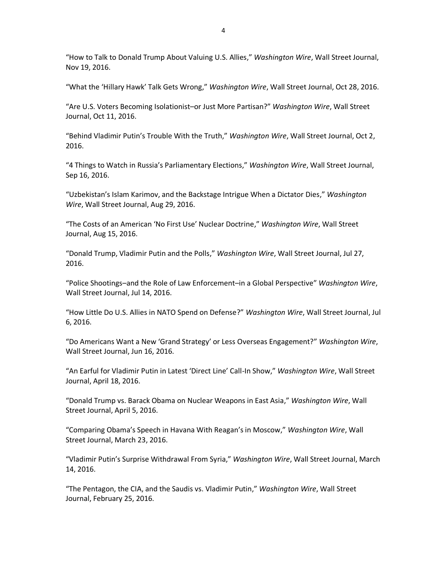"[How to Talk to Donald Trump About Valuing U.S. Allies](https://blogs.wsj.com/washwire/2016/11/19/how-to-talk-to-donald-trump-about-valuing-u-s-allies/)," *Washington Wire*, Wall Street Journal, Nov 19, 2016.

["What the 'Hillary Hawk' Talk Gets Wrong,](https://blogs.wsj.com/washwire/2016/10/28/what-the-hillary-hawk-talk-gets-wrong/?cb=logged0.5813312261283337)" *Washington Wire*, Wall Street Journal, Oct 28, 2016.

"[Are U.S. Voters Becoming Isolationist](https://blogs.wsj.com/washwire/2016/10/11/are-u-s-voters-becoming-isolationist-or-just-more-partisan/)–or Just More Partisan?" *Washington Wire*, Wall Street Journal, Oct 11, 2016.

["Behind Vladimir Putin's Trouble With the](https://blogs.wsj.com/washwire/2016/10/02/behind-vladimir-putins-trouble-with-the-truth/?cb=logged0.3674889706966853) Truth," *Washington Wire*, Wall Street Journal, Oct 2, 2016.

["4 Things to Watch in Russia's Parliamentary Elections,](https://blogs.wsj.com/washwire/2016/09/16/4-things-to-watch-in-russias-duma-parliamentary-elections-sept-18/)" *Washington Wire*, Wall Street Journal, Sep 16, 2016.

["Uzbekistan's Islam Karimov, and the Backstage Intrigue When a Dictator Dies,](https://blogs.wsj.com/washwire/2016/08/29/uzbekistans-islam-karimov-and-the-backstage-intrigue-when-a-dictator-dies/)" *Washington Wire*, Wall Street Journal, Aug 29, 2016.

["The Costs of an American 'No First Use' Nuclear Doctrine,](https://blogs.wsj.com/washwire/2016/08/15/the-costs-of-an-american-no-first-use-nuclear-doctrine/)" *Washington Wire*, Wall Street Journal, Aug 15, 2016.

"[Donald Trump, Vladimir Putin and the Polls](https://blogs.wsj.com/washwire/2016/07/27/donald-trump-vladimir-putin-and-the-polls/)," *Washington Wire*, Wall Street Journal, Jul 27, 2016.

"Police Shootings–[and the Role of Law Enforcement](https://blogs.wsj.com/washwire/2016/07/14/police-shootings-and-the-role-of-law-enforcement-in-a-global-perspective/)–in a Global Perspective" *Washington Wire*, Wall Street Journal, Jul 14, 2016.

"[How Little Do U.S. Allies in NATO Spend on Defense](https://blogs.wsj.com/washwire/2016/07/06/how-little-do-u-s-allies-in-nato-spend-on-defense/)?" *Washington Wire*, Wall Street Journal, Jul 6, 2016.

["Do Americans Want a New 'Grand Strategy' or Less Overseas Engagement?"](https://blogs.wsj.com/washwire/2016/06/16/do-americans-want-a-new-grand-strategy/) *Washington Wire*, Wall Street Journal, Jun 16, 2016.

["An Earful for Vladimir Putin in Latest 'Direct Line' Call](http://blogs.wsj.com/washwire/2016/04/18/an-earful-for-vladimir-putin-in-latest-direct-line-call-in-show/)-In Show," *Washington Wire*, Wall Street Journal, April 18, 2016.

"[Donald Trump vs. Barack Obama on Nuclear Weapons in East Asia](http://blogs.wsj.com/washwire/2016/04/05/donald-trump-vs-barack-obama-on-nuclear-weapons-in-east-asia/)," *Washington Wire*, Wall Street Journal, April 5, 2016.

"Comparing O[bama's Speech in Havana With Reagan's in Moscow,](http://blogs.wsj.com/washwire/2016/03/23/comparing-obamas-speech-in-cuba-and-reagans-in-russia/)" *Washington Wire*, Wall Street Journal, March 23, 2016.

["Vladimir Putin's Surprise Withdrawal From Sy](http://blogs.wsj.com/washwire/2016/03/14/vladimir-putins-surprise-withdrawal-from-syria/)ria," *Washington Wire*, Wall Street Journal, March 14, 2016.

"[The Pentagon, the CIA, and the Saudis vs. Vladimir Putin](http://blogs.wsj.com/washwire/2016/02/25/the-pentagon-the-cia-and-the-saudis-vs-vladimir-putin/)," *Washington Wire*, Wall Street Journal, February 25, 2016.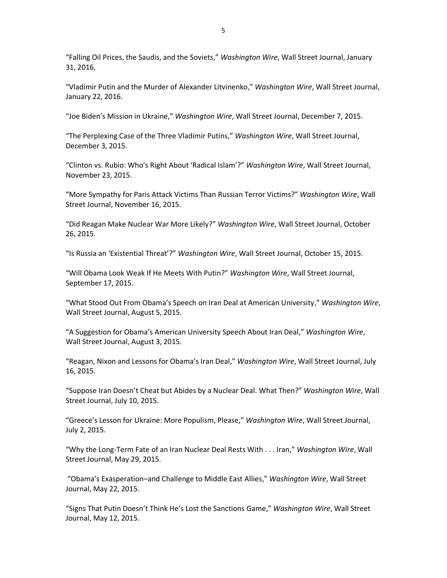"[Falling Oil Prices, the Saudis, and the Soviets](http://blogs.wsj.com/washwire/2016/01/31/falling-oil-prices-the-saudis-and-the-soviets/)," *Washington Wire*, Wall Street Journal, January 31, 2016.

"[Vladimir Putin and the Murder of Alexander Litvinenko](http://blogs.wsj.com/washwire/2016/01/22/vladimir-putin-and-the-murder-of-alexander-litvinenko/)," *Washington Wire*, Wall Street Journal, January 22, 2016.

["Joe Biden's Mission in Ukraine,](http://blogs.wsj.com/washwire/2015/12/07/joe-bidens-mission-in-ukraine/)" *Washington Wire*, Wall Street Journal, December 7, 2015.

"The [Perplexing Case of the Three Vladimir Putins](http://blogs.wsj.com/washwire/2015/12/03/the-perplexing-case-of-the-three-vladimir-putins/)," *Washington Wire*, Wall Street Journal, December 3, 2015.

["Clinton vs. Rubio: Who's Right About 'Radical Islam'?"](http://blogs.wsj.com/washwire/2015/11/23/clinton-vs-rubio-whos-right-about-radical-islam/) *Washington Wire*, Wall Street Journal, November 23, 2015.

"[More Sympathy for Paris Attack Victims Than Russian Terror Victims](http://blogs.wsj.com/washwire/2015/11/16/more-sympathy-for-paris-attack-victims-than-russian-terror-victims/)?" *Washington Wire*, Wall Street Journal, November 16, 2015.

"[Did Reagan Make Nuclear War More Likely?](http://blogs.wsj.com/washwire/2015/10/26/did-reagan-make-nuclear-war-more-likely/)" *Washington Wire*, Wall Street Journal, October 26, 2015.

["Is Russia an 'Existential Threat'?](http://blogs.wsj.com/washwire/2015/10/15/is-russia-an-existential-threat/)" *Washington Wire*, Wall Street Journal, October 15, 2015.

"[Will Obama Look Weak If He Meets With Putin](http://blogs.wsj.com/washwire/2015/09/17/will-obama-look-weak-if-he-meets-with-putin/)?" *Washington Wire*, Wall Street Journal, September 17, 2015.

["What Stood Out From Obama's Speech on Iran Deal at American University,](http://blogs.wsj.com/washwire/2015/08/05/3-things-about-obamas-iran-speech-at-american-university/)" *Washington Wire*, Wall Street Journal, August 5, 2015.

["A Suggestion for Obama's American University Speech About Iran Deal,](http://blogs.wsj.com/washwire/2015/08/03/a-suggestion-for-obamas-american-university-speech-about-iran-deal/)" *Washington Wire*, Wall Street Journal, August 3, 2015.

"Reagan, Nixon and [Lessons for Obama's Iran Deal,](http://blogs.wsj.com/washwire/2015/07/16/reagan-nixon-and-lessons-for-obamas-iran-deal/)" *Washington Wire*, Wall Street Journal, July 16, 2015.

["Suppose Iran Doesn't Cheat but Abides by a Nu](http://blogs.wsj.com/washwire/2015/07/10/suppose-iran-doesnt-cheat-but-abides-by-a-nuclear-deal-what-then/)clear Deal. What Then?" *Washington Wire*, Wall Street Journal, July 10, 2015.

["Greece's Lesson for Ukraine: More Populism, Please,](http://blogs.wsj.com/washwire/2015/07/02/greeces-lesson-for-ukraine-more-populism-please/)" *Washington Wire*, Wall Street Journal, July 2, 2015.

"[Why the Long-Term Fate of an Iran Nuclear Deal Rests With . . . Iran](http://blogs.wsj.com/washwire/2015/05/29/why-the-long-term-fate-of-an-iran-nuclear-deal-rests-with-iran/)," *Washington Wire*, Wall Street Journal, May 29, 2015.

"Obama's Exasperation–[and Challenge to Middle East Allies](http://blogs.wsj.com/washwire/2015/05/22/obamas-exasperation-and-challenge-to-middle-east-allies/)," *Washington Wire*, Wall Street Journal, May 22, 2015.

["Signs That Putin Doesn't Think He's Lost the Sanctions Game,](http://blogs.wsj.com/washwire/2015/05/12/signs-putin-doesnt-think-hes-lost-the-sanctions-game/)" *Washington Wire*, Wall Street Journal, May 12, 2015.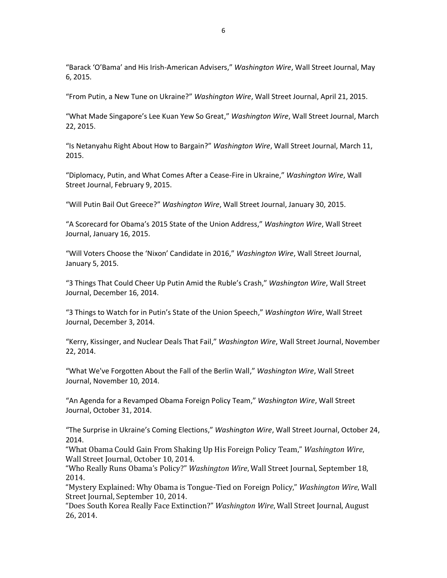["Barack 'O'Bama' and His Irish](http://blogs.wsj.com/washwire/2015/05/06/barack-obama-and-his-irish-american-advisers/)-American Advisers," *Washington Wire*, Wall Street Journal, May 6, 2015.

"[From Putin, a New Tune on Ukraine?](http://blogs.wsj.com/washwire/2015/04/21/from-putin-a-new-tune-on-ukraine/)" *Washington Wire*, Wall Street Journal, April 21, 2015.

["What Made Singapore's Lee Kuan Yew So Great,](http://blogs.wsj.com/washwire/2015/03/22/what-made-singapores-lee-kuan-yew-so-great/)" *Washington Wire*, Wall Street Journal, March 22, 2015.

"[Is Netanyahu Right About How to Bargain?](http://blogs.wsj.com/washwire/2015/03/11/is-netanyahu-right-about-how-to-bargain/)" *Washington Wire*, Wall Street Journal, March 11, 2015.

"[Diplomacy, Putin, and What Comes After a Cease-Fire in Ukraine](http://blogs.wsj.com/washwire/2015/02/09/diplomacy-putin-and-what-comes-after-a-cease-fire-in-ukraine/)," *Washington Wire*, Wall Street Journal, February 9, 2015.

"[Will Putin Bail Out Greece?](http://blogs.wsj.com/washwire/2015/01/30/will-putin-bail-out-greece/)" *Washington Wire*, Wall Street Journal, January 30, 2015.

["A Scorecard for Obama's 2015 State of the Union Address,](http://blogs.wsj.com/washwire/2015/01/16/a-scorecard-for-obamas-2015-state-of-the-union-address/)" *Washington Wire*, Wall Street Journal, January 16, 2015.

"Will Voters Choos[e the 'Nixon' Candidate in 2016,](http://blogs.wsj.com/washwire/2015/01/05/will-voters-choose-the-nixon-candidate-in-2016/)" *Washington Wire*, Wall Street Journal, January 5, 2015.

"[3 Things That Could Cheer Up Putin Amid the Ru](http://blogs.wsj.com/washwire/2014/12/16/3-things-that-could-cheer-up-putin-despite-the-rubles-crash/)ble's Crash," *Washington Wire*, Wall Street Journal, December 16, 2014.

["3 Things to Watch for in Putin's State of the Union Speech,](http://blogs.wsj.com/washwire/2014/12/03/3-things-to-watch-for-in-putins-state-of-the-union-speech/)" *Washington Wire*, Wall Street Journal, December 3, 2014.

"[Kerry, Kissinger, and Nuclear Deals That Fail](http://blogs.wsj.com/washwire/2014/11/22/kerry-kissinger-and-nuclear-deals-that-fail/)," *Washington Wire*, Wall Street Journal, November 22, 2014.

"[What We've Forgotten About the Fall of the Berlin Wall](http://blogs.wsj.com/washwire/2014/11/10/what-weve-forgotten-about-the-fall-of-the-berlin-wall/)," *Washington Wire*, Wall Street Journal, November 10, 2014.

"[An Agenda for a Revamped Obama Foreign Policy Team](http://blogs.wsj.com/washwire/2014/10/31/an-agenda-for-a-revamped-obama-foreign-policy-team/)," *Washington Wire*, Wall Street Journal, October 31, 2014.

["The Surprise in Ukraine's Coming Elections,](http://blogs.wsj.com/washwire/2014/10/24/the-surprise-in-ukraines-coming-elections/)" *Washington Wire*, Wall Street Journal, October 24, 2014.

"[What Obama Could Gain From Shaking Up His Foreign Policy Team](http://blogs.wsj.com/washwire/2014/10/10/what-obama-could-gain-from-shaking-up-his-foreign-policy-team/)," *Washington Wire*, Wall Street Journal, October 10, 2014.

["Who Really Runs Obama's Policy?"](http://blogs.wsj.com/washwire/2014/09/18/who-really-runs-obamas-policy/) *Washington Wire*, Wall Street Journal, September 18, 2014.

"[Mystery Explained: Why Obama is Tongue-Tied on Foreign Policy](http://blogs.wsj.com/washwire/2014/09/10/mystery-explained-why-obama-is-tongue-tied-on-foreign-policy/)," *Washington Wire*, Wall Street Journal, September 10, 2014.

"[Does South Korea Really Face Extinction?](http://blogs.wsj.com/washwire/2014/08/26/does-south-korea-really-face-extinction/)" *Washington Wire*, Wall Street Journal, August 26, 2014.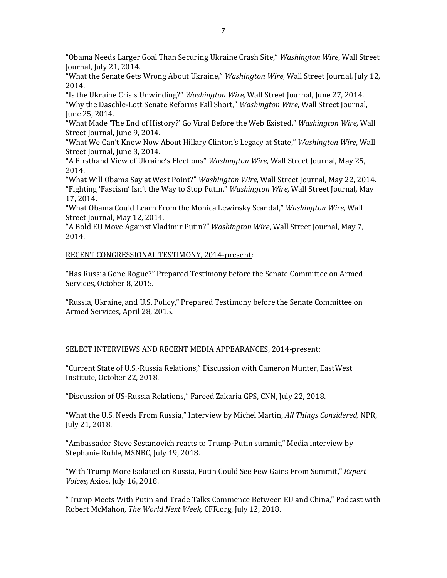"[Obama Needs Larger Goal Than Securing Ukraine Crash Site](http://blogs.wsj.com/washwire/2014/07/21/obama-needs-larger-goal-than-securing-ukraine-crash-site/)," *Washington Wire*, Wall Street Journal, July 21, 2014.

"[What the Senate Gets Wrong About Ukraine](http://blogs.wsj.com/washwire/2014/07/12/what-the-senate-gets-wrong-about-ukraine/)," *Washington Wire,* Wall Street Journal*,* July 12, 2014.

"[Is the Ukraine Crisis Unwinding?](http://blogs.wsj.com/washwire/2014/06/27/is-the-ukraine-crisis-unwinding/)" *Washington Wire,* Wall Street Journal, June 27, 2014. "[Why the Daschle-Lott Senate Reforms Fall Short](http://blogs.wsj.com/washwire/2014/06/25/why-the-daschle-lott-senate-reforms-fall-short/)," *Washington Wire,* Wall Street Journal, June 25, 2014.

["What Made 'The End of History?' Go Viral Before the Web Existed,](http://blogs.wsj.com/washwire/2014/06/09/what-made-the-end-of-history-go-viral/)" *Washington Wire,* Wall Street Journal*,* June 9, 2014.

["What We Can't Know Now About Hillary Clinton's Legacy at State,"](http://blogs.wsj.com/washwire/2014/06/03/what-we-cant-know-now-about-hillary-clintons-legacy-at-state/) *Washington Wire,* Wall Street Journal*,* June 3, 2014.

["A Firsthand View of Ukraine's Elections"](http://blogs.wsj.com/washwire/2014/05/25/a-firsthand-view-of-ukraines-election/) *Washington Wire,* Wall Street Journal, May 25, 2014.

"[What Will Obama Say at West Point?](http://blogs.wsj.com/washwire/2014/05/22/what-will-obama-say-at-west-point/)" *Washington Wire,* Wall Street Journal*,* May 22, 2014. ["Fighting 'Fascism' Isn't the Way to Stop Putin,"](http://blogs.wsj.com/washwire/2014/05/17/fighting-fascism-isnt-the-way-to-stop-putin/) *Washington Wire,* Wall Street Journal*,* May 17, 2014.

"[What Obama Could Learn From the Monica Lewinsky Scandal](http://blogs.wsj.com/washwire/2014/05/12/what-obama-could-learn-from-the-monica-lewinsky-scandal/)," *Washington Wire,* Wall Street Journal, May 12, 2014*.*

"[A Bold EU Move Against Vladimir Putin?](http://blogs.wsj.com/washwire/2014/05/07/a-bold-e-u-move-against-vladimir-putin/)" *Washington Wire*, Wall Street Journal, May 7, 2014.

### RECENT CONGRESSIONAL TESTIMONY, 2014-present:

"Has Russia Gone Rogue?" Prepared Testimony before the Senate Committee on Armed Services, October 8, 2015.

"Russia, Ukraine, and U.S. Policy," Prepared Testimony before the Senate Committee on Armed Services, April 28, 2015.

## SELECT INTERVIEWS AND RECENT MEDIA APPEARANCES, 2014-present:

"[Current State of U.S.-Russia Relations](https://www.eastwest.ngo/interactive/stephen-sestanovich-current-state-us-russia-relations)," Discussion with Cameron Munter, EastWest Institute, October 22, 2018.

"[Discussion of US-Russia Relations](http://transcripts.cnn.com/TRANSCRIPTS/1807/22/fzgps.01.html)," Fareed Zakaria GPS, CNN, July 22, 2018.

"What the U.S. [Needs From Russia](https://www.npr.org/2018/07/21/631164928/what-the-u-s-needs-from-russia)," Interview by Michel Martin, *All Things Considered,* NPR, July 21, 2018.

"[Ambassador Steve Sestanovich reacts to Trump-Putin summit](https://www.msnbc.com/craig-melvin/watch/amb-steve-sestanovich-reacts-to-trump-putin-summit-1281225283791)," Media interview by Stephanie Ruhle, MSNBC, July 19, 2018.

"[With Trump More Isolated on Russia, Putin Could See Few Gains From Summit](https://www.axios.com/with-trump-more-isolated-on-russia-putin-could-see-few-gains-from-summit-d6e56d61-dff1-4671-b30b-4ef498ea0fd3.html)," *Expert Voices,* Axios, July 16, 2018.

"[Trump Meets With Putin and Trade Talks Commence Between EU and China](https://www.cfr.org/podcasts/trump-meets-putin-and-trade-talks-commence-between-eu-and-china)," Podcast with Robert McMahon, *The World Next Week,* CFR.org, July 12, 2018.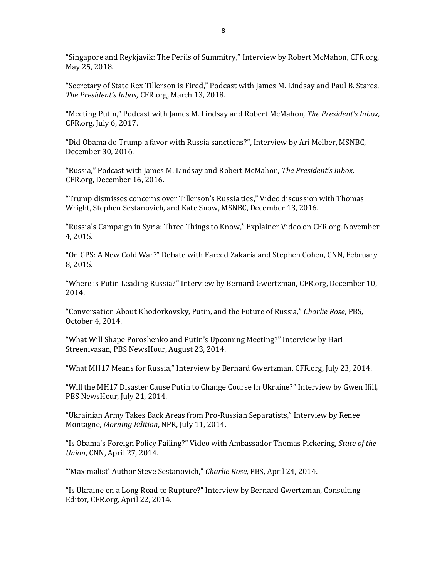"[Singapore and Reykjavik: The Perils of Summitry](https://www.cfr.org/interview/singapore-and-reykjavik-perils-summitry)," Interview by Robert McMahon, CFR.org, May 25, 2018.

"[Secretary of State Rex Tillerson is Fired](https://www.cfr.org/podcasts/secretary-state-rex-tillerson-fired)," Podcast with James M. Lindsay and Paul B. Stares, *The President's Inbox,* CFR.org, March 13, 2018.

"[Meeting Putin](https://www.cfr.org/podcasts/meeting-putin)," Podcast with James M. Lindsay and Robert McMahon, *The President's Inbox,*  CFR.org, July 6, 2017.

"[Did Obama do Trump a favor with Russia sanctions?](https://www.msnbc.com/msnbc-news/watch/did-obama-do-trump-a-favor-with-russian-sanctions-844757571943)", Interview by Ari Melber, MSNBC, December 30, 2016.

"[Russia](https://www.cfr.org/podcasts/presidents-inbox-russia)," Podcast with James M. Lindsay and Robert McMahon, *The President's Inbox,*  CFR.org, December 16, 2016.

["Trump dismisses concerns over Tillerson's Russia ties,"](https://www.msnbc.com/kate-snow/watch/trump-dismisses-concerns-over-tillerson-s-russia-ties-832382019791) Video discussion with Thomas Wright, Stephen Sestanovich, and Kate Snow, MSNBC, December 13, 2016.

"[Russia's Campaign in Syria: Three Things to Know](https://www.cfr.org/explainer-video/russias-campaign-syria-three-things-know)," Explainer Video on CFR.org, November 4, 2015.

"[On GPS: A New Cold War?](https://edition.cnn.com/videos/tv/2015/02/08/exp-gps-sestanovich-cohen-sot-putin.cnn)" Debate with Fareed Zakaria and Stephen Cohen, CNN, February 8, 2015.

"[Where is Putin Leading Russia?](https://www.cfr.org/interview/where-putin-leading-russia)" Interview by Bernard Gwertzman, CFR.org, December 10, 2014.

"Conversation About Khodorkovsky, Putin, and the Future of Russia," *Charlie Rose*, PBS, October 4, 2014.

["What Will Shape Poroshenko and Putin's Upcoming Meeting?"](https://www.pbs.org/newshour/show/sestanovich) Interview by Hari Streenivasan, PBS NewsHour, August 23, 2014.

"[What MH17 Means for Russia](https://www.cfr.org/interview/what-mh17-means-russia)," Interview by Bernard Gwertzman, CFR.org, July 23, 2014.

"[Will the MH17 Disaster Cause Putin to Change Course In Ukraine?](https://www.pbs.org/newshour/show/wake-mh17-disaster-will-putin-promote-diplomacy)" Interview by Gwen Ifill, PBS NewsHour, July 21, 2014.

"[Ukrainian Army Takes Back Areas from Pro-Russian Separatists](https://www.kmuw.org/post/ukrainian-army-takes-back-many-areas-pro-russian-separatists)," Interview by Renee Montagne, *Morning Edition*, NPR, July 11, 2014.

["Is Obama's Foreign Policy Failing?"](https://www.cnn.com/videos/politics/2014/04/27/exp-sotu-crowley-foreign-policy-obama-thoms-pickering-stephen-sestanovich.cnn) Video with Ambassador Thomas Pickering, *State of the Union*, CNN, April 27, 2014.

"'Maximalist' Author Steve Sestanovich," *Charlie Rose*, PBS, April 24, 2014.

"[Is Ukraine on a Long Road to Rupture?](https://www.cfr.org/interview/ukraine-long-road-rupture)" Interview by Bernard Gwertzman, Consulting Editor, CFR.org, April 22, 2014.